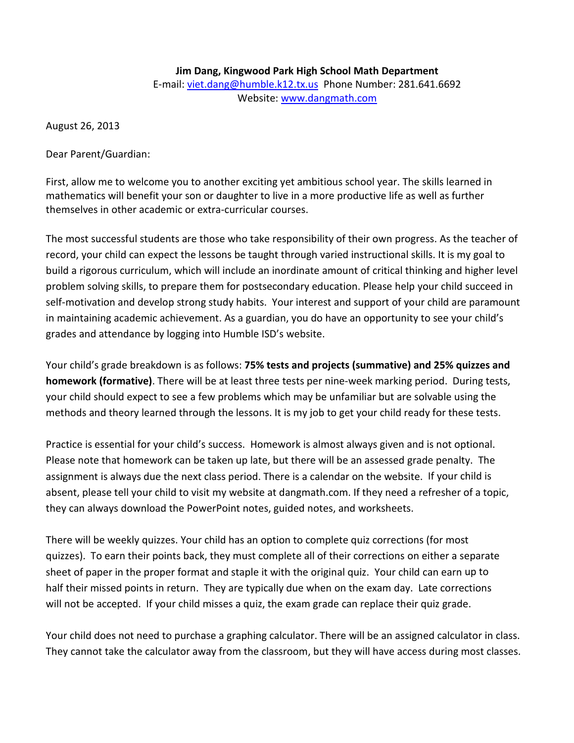## **Jim Dang, Kingwood Park High School Math Department** E-mail: [viet.dang@humble.k12.tx.us](mailto:viet.dang@humble.k12.tx.us) Phone Number: 281.641.6692 Website: [www.dangmath.com](http://www.dangmath.com/)

August 26, 2013

Dear Parent/Guardian:

First, allow me to welcome you to another exciting yet ambitious school year. The skills learned in mathematics will benefit your son or daughter to live in a more productive life as well as further themselves in other academic or extra-curricular courses.

The most successful students are those who take responsibility of their own progress. As the teacher of record, your child can expect the lessons be taught through varied instructional skills. It is my goal to build a rigorous curriculum, which will include an inordinate amount of critical thinking and higher level problem solving skills, to prepare them for postsecondary education. Please help your child succeed in self-motivation and develop strong study habits. Your interest and support of your child are paramount in maintaining academic achievement. As a guardian, you do have an opportunity to see your child's grades and attendance by logging into Humble ISD's website.

Your child's grade breakdown is as follows: **75% tests and projects (summative) and 25% quizzes and homework (formative)**. There will be at least three tests per nine-week marking period. During tests, your child should expect to see a few problems which may be unfamiliar but are solvable using the methods and theory learned through the lessons. It is my job to get your child ready for these tests.

Practice is essential for your child's success. Homework is almost always given and is not optional. Please note that homework can be taken up late, but there will be an assessed grade penalty. The assignment is always due the next class period. There is a calendar on the website. If your child is absent, please tell your child to visit my website at dangmath.com. If they need a refresher of a topic, they can always download the PowerPoint notes, guided notes, and worksheets.

There will be weekly quizzes. Your child has an option to complete quiz corrections (for most quizzes). To earn their points back, they must complete all of their corrections on either a separate sheet of paper in the proper format and staple it with the original quiz. Your child can earn up to half their missed points in return. They are typically due when on the exam day. Late corrections will not be accepted. If your child misses a quiz, the exam grade can replace their quiz grade.

Your child does not need to purchase a graphing calculator. There will be an assigned calculator in class. They cannot take the calculator away from the classroom, but they will have access during most classes.